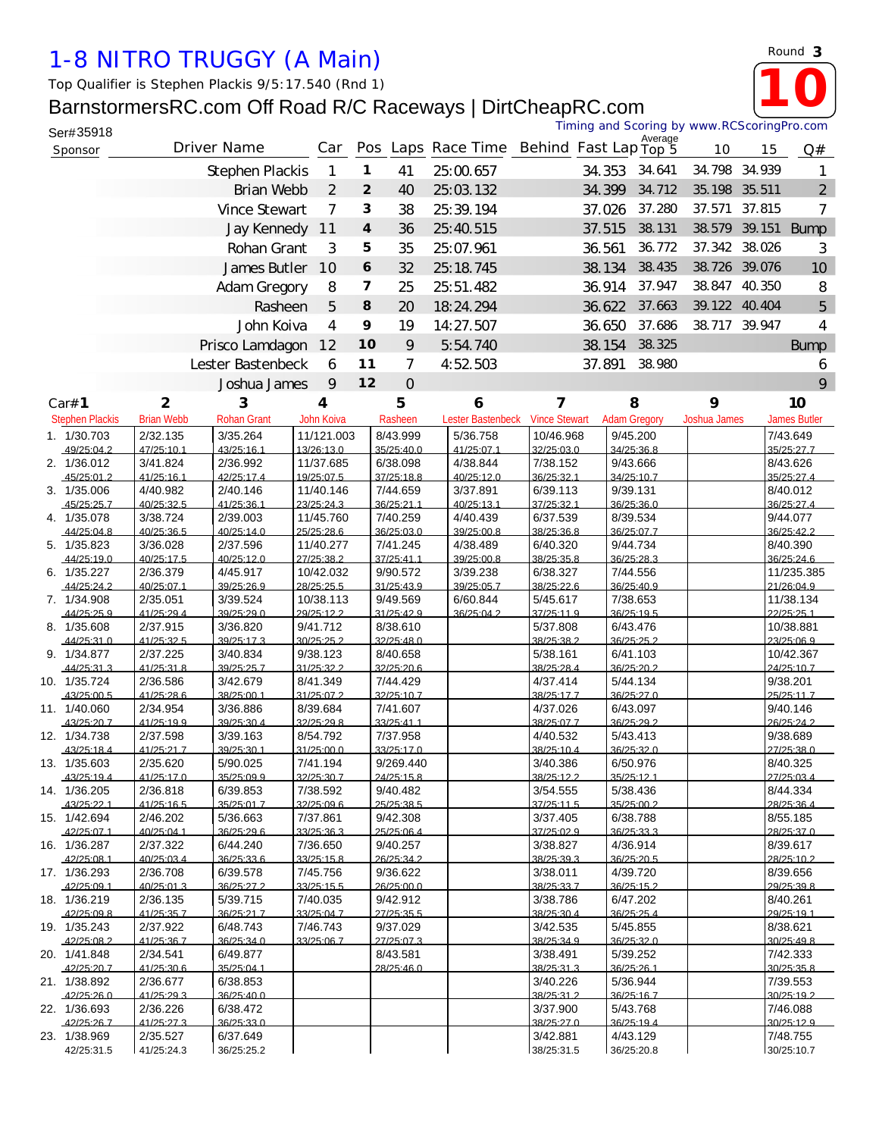## *1-8 NITRO TRUGGY (A Main)*

## BarnstormersRC.com Off Road R/C Raceways | DirtCheapRC.com

|  |                            |                         | Top Qualifier is Stephen Plackis 9/5:17.540 (Rnd 1)        |                         |     |                  |                        |                                          |                        |        |                                            |                     |        |                         |
|--|----------------------------|-------------------------|------------------------------------------------------------|-------------------------|-----|------------------|------------------------|------------------------------------------|------------------------|--------|--------------------------------------------|---------------------|--------|-------------------------|
|  |                            |                         |                                                            |                         |     |                  |                        |                                          |                        |        |                                            |                     |        |                         |
|  |                            |                         | BarnstormersRC.com Off Road R/C Raceways   DirtCheapRC.com |                         |     |                  |                        |                                          |                        |        | Timing and Scoring by www.RCScoringPro.com |                     |        |                         |
|  | Ser#35918                  |                         |                                                            |                         |     |                  |                        |                                          |                        |        | Average                                    |                     |        |                         |
|  | Sponsor                    |                         | Driver Name                                                |                         | Car |                  |                        | Pos Laps Race Time Behind Fast Lap Top 5 |                        |        |                                            | 10                  | 15     | Q#                      |
|  |                            |                         | Stephen Plackis                                            |                         | 1   | $\mathbf{1}$     | 41                     | 25:00.657                                |                        | 34.353 | 34.641                                     | 34.798 34.939       |        | 1                       |
|  |                            |                         | Brian Webb                                                 |                         | 2   | $\overline{2}$   | 40                     | 25:03.132                                |                        | 34.399 | 34.712                                     | 35.198 35.511       |        | $\overline{2}$          |
|  |                            |                         |                                                            |                         |     |                  |                        |                                          |                        |        |                                            |                     |        |                         |
|  |                            |                         | Vince Stewart                                              |                         | 7   | 3                | 38                     | 25:39.194                                |                        | 37.026 | 37.280                                     | 37.571              | 37.815 | 7                       |
|  |                            |                         | Jay Kennedy                                                | 11                      |     | $\boldsymbol{4}$ | 36                     | 25:40.515                                |                        | 37.515 | 38.131                                     |                     |        | 38.579 39.151 Bump      |
|  |                            |                         | Rohan Grant                                                |                         |     | 5                | 35                     | 25:07.961                                |                        | 36.561 | 36.772                                     | 37.342 38.026       |        | 3                       |
|  |                            | James Butler            |                                                            | 10                      | 6   | 32               | 25:18.745              |                                          | 38.134                 | 38.435 | 38.726 39.076                              |                     | 10     |                         |
|  |                            | Adam Gregory            |                                                            | 8                       | 7   | 25               | 25:51.482              |                                          | 36.914                 | 37.947 | 38.847 40.350                              |                     | 8      |                         |
|  |                            |                         |                                                            |                         |     |                  |                        |                                          |                        |        |                                            |                     |        |                         |
|  |                            | Rasheen<br>John Koiva   |                                                            |                         | 5   | 8                | 20                     | 18:24.294                                |                        | 36.622 | 37.663                                     | 39.122 40.404       |        | 5                       |
|  |                            |                         |                                                            |                         | 4   | 9                | 19                     | 14:27.507                                |                        | 36.650 | 37.686                                     | 38.717 39.947       |        | 4                       |
|  |                            | Prisco Lamdagon         |                                                            |                         | 12  | 10               | 9                      | 5:54.740                                 |                        | 38.154 | 38.325                                     |                     |        | <b>Bump</b>             |
|  |                            |                         | Lester Bastenbeck                                          |                         | 6   | 11               | 7                      | 4:52.503                                 |                        | 37.891 | 38.980                                     |                     |        | 6                       |
|  |                            |                         | Joshua James                                               |                         | 9   | 12               | $\overline{O}$         |                                          |                        |        |                                            |                     |        | 9                       |
|  |                            |                         |                                                            |                         |     |                  |                        |                                          |                        |        |                                            |                     |        |                         |
|  | Car# 1                     | $\overline{\mathbf{c}}$ | 3                                                          | 4                       |     |                  | 5                      | 6                                        | 7                      |        | 8                                          | 9                   |        | 10                      |
|  | <b>Stephen Plackis</b>     | <b>Brian Webb</b>       | <b>Rohan Grant</b>                                         | John Koiva              |     |                  | Rasheen                | Lester Bastenbeck                        | <b>Vince Stewart</b>   |        | <b>Adam Gregory</b>                        | <b>Joshua James</b> |        | James Butler            |
|  | 1. 1/30.703                | 2/32.135                | 3/35.264                                                   | 11/121.003              |     |                  | 8/43.999               | 5/36.758                                 | 10/46.968              |        | 9/45.200                                   |                     |        | 7/43.649                |
|  | 49/25:04.2                 | 47/25:10.1              | 43/25:16.1                                                 | 13/26:13.0              |     |                  | 35/25:40.0             | 41/25:07.1                               | 32/25:03.0             |        | 34/25:36.8                                 |                     |        | 35/25:27.7              |
|  | 2. 1/36.012<br>45/25:01.2  | 3/41.824<br>41/25:161   | 2/36.992<br>42/25:174                                      | 11/37.685<br>19/25:07.5 |     |                  | 6/38.098<br>37/25:18.8 | 4/38.844<br>40/25:120                    | 7/38.152<br>36/25:32.1 |        | 9/43.666<br>34/25:10.7                     |                     |        | 8/43.626<br>35/25.274   |
|  | 3. 1/35.006                | 4/40.982                | 2/40.146                                                   | 11/40.146               |     |                  | 7/44.659               | 3/37.891                                 | 6/39.113               |        | 9/39.131                                   |                     |        | 8/40.012                |
|  | 45/25:25.7                 | 40/25:32.5              | 41/25:36.1                                                 | 23/25:24.3              |     |                  | 36/25:21.1             | 40/25:13.1                               | 37/25:32.1             |        | 36/25:36.0                                 |                     |        | 36/25:27.4              |
|  | 4. 1/35.078                | 3/38.724                | 2/39.003                                                   | 11/45.760               |     |                  | 7/40.259               | 4/40.439                                 | 6/37.539               |        | 8/39.534                                   |                     |        | 9/44.077                |
|  | 44/25:04.8                 | 40/25:36.5              | 40/25:14.0                                                 | 25/25:28.6              |     |                  | 36/25:03.0             | 39/25:00.8                               | 38/25:36.8             |        | 36/25:07.7                                 |                     |        | 36/25:42.2              |
|  | 5. 1/35.823                | 3/36.028                | 2/37.596                                                   | 11/40.277               |     |                  | 7/41.245               | 4/38.489                                 | 6/40.320               |        | 9/44.734                                   |                     |        | 8/40.390                |
|  | 44/25:190                  | 40/25:17.5              | 40/25.120                                                  | 27/25:38.2              |     |                  | 37/25:41 1             | 39/25:00.8                               | 38/25:35.8             |        | 36/25.28.3                                 |                     |        | 36/25:24 6              |
|  | 6. 1/35.227                | 2/36.379                | 4/45.917                                                   | 10/42.032               |     |                  | 9/90.572<br>31/25:43.9 | 3/39.238                                 | 6/38.327               |        | 7/44.556                                   |                     |        | 11/235.385              |
|  | 44/25:24.2<br>7. 1/34.908  | 40/25:07.1<br>2/35.051  | 39/25:26.9<br>3/39.524                                     | 28/25:25.5<br>10/38.113 |     |                  | 9/49.569               | 39/25:05.7<br>6/60.844                   | 38/25:22.6<br>5/45.617 |        | 36/25:40.9<br>7/38.653                     |                     |        | 21/26:04.9<br>11/38.134 |
|  | 44/25:25.9                 | 41/25:29.4              | 39/25:29.0                                                 | 29/25:12.2              |     |                  | 31/25:42.9             | 36/25:04.2                               | 37/25:11.9             |        | 36/25:19.5                                 |                     |        | 22/25:25.1              |
|  | 8. 1/35.608                | 2/37.915                | 3/36.820                                                   | 9/41.712                |     |                  | 8/38.610               |                                          | 5/37.808               |        | 6/43.476                                   |                     |        | 10/38.881               |
|  | 44/25:31.0                 | 41/25:32.5              | 39/25:17.3                                                 | 30/25:25.2              |     |                  | 32/25:48.0             |                                          | 38/25:38.2             |        | 36/25:25.2                                 |                     |        | 23/25:06.9              |
|  | 9. 1/34.877                | 2/37.225                | 3/40.834                                                   | 9/38.123                |     |                  | 8/40.658               |                                          | 5/38.161               |        | 6/41.103                                   |                     |        | 10/42.367               |
|  | 44/25:31.3                 | 41/25:31.8              | 39/25:25.7                                                 | 31/25:32.2              |     |                  | 32/25:20.6             |                                          | 38/25:28.4             |        | 36/25:20.2                                 |                     |        | 24/25:10.7              |
|  | 10. 1/35.724               | 2/36.586                | 3/42.679                                                   | 8/41.349                |     |                  | 7/44.429               |                                          | 4/37.414<br>38/25:17.7 |        | 5/44.134                                   |                     |        | 9/38.201<br>25/25:11.7  |
|  | 43/25:00.5<br>11. 1/40.060 | 41/25:28.6<br>2/34.954  | 38/25:00.1<br>3/36.886                                     | 31/25:07.2<br>8/39.684  |     |                  | 32/25:10.7<br>7/41.607 |                                          | 4/37.026               |        | 36/25:27.0<br>6/43.097                     |                     |        | 9/40.146                |
|  | 43/25:20.7                 | 41/25:19.9              | 39/25:30.4                                                 | 32/25:29.8              |     |                  | 33/25:41.1             |                                          | 38/25:07.7             |        | 36/25:29.2                                 |                     |        | 26/25:24.2              |
|  | 12. 1/34.738               | 2/37.598                | 3/39.163                                                   | 8/54.792                |     |                  | 7/37.958               |                                          | 4/40.532               |        | 5/43.413                                   |                     |        | 9/38.689                |
|  | 43/25:18.4                 | 41/25:21.7              | 39/25:30.1                                                 | 31/25:00.0              |     |                  | 33/25:17.0             |                                          | 38/25:10.4             |        | 36/25:32.0                                 |                     |        | 27/25:38.0              |
|  | 13. 1/35.603               | 2/35.620                | 5/90.025                                                   | 7/41.194                |     |                  | 9/269.440              |                                          | 3/40.386               |        | 6/50.976                                   |                     |        | 8/40.325                |
|  | 43/25:19.4                 | 41/25:17.0              | 35/25:09.9                                                 | 32/25:30.7              |     |                  | 24/25:15.8             |                                          | 38/25:12.2             |        | 35/25:121                                  |                     |        | 27/25:03.4              |
|  | 14. 1/36.205               | 2/36.818                | 6/39.853<br>35/25:01.7                                     | 7/38.592<br>32/25:09.6  |     |                  | 9/40.482               |                                          | 3/54.555<br>37/25:11.5 |        | 5/38.436<br>35/25:00.2                     |                     |        | 8/44.334<br>28/25:36.4  |
|  | 43/25:22.1<br>15. 1/42.694 | 41/25:16.5<br>2/46.202  | 5/36.663                                                   | 7/37.861                |     |                  | 25/25:38.5<br>9/42.308 |                                          | 3/37.405               |        | 6/38.788                                   |                     |        | 8/55.185                |
|  | 42/25:07.1                 | 40/25:04.1              | 36/25:29.6                                                 | 33/25:36.3              |     |                  | 25/25:06.4             |                                          | 37/25:02.9             |        | 36/25:33.3                                 |                     |        | 28/25:37.0              |
|  |                            |                         |                                                            |                         |     |                  |                        |                                          |                        |        |                                            |                     |        |                         |

|     | 43/25:19.4   | 41/25.170  | 35/25.09.9 | 32/25:307  | 24/25.15.8 | 38/25.122  | 35/25.121  | 27/25:03 4  |
|-----|--------------|------------|------------|------------|------------|------------|------------|-------------|
|     | 14. 1/36.205 | 2/36.818   | 6/39.853   | 7/38.592   | 9/40.482   | 3/54.555   | 5/38.436   | 8/44.334    |
|     | 43/25:22.1   | 41/25:16.5 | 35/25:01.7 | 32/25:09.6 | 25/25:38.5 | 37/25:11.5 | 35/25:00.2 | 28/25:36.4  |
|     | 15. 1/42.694 | 2/46.202   | 5/36.663   | 7/37.861   | 9/42.308   | 3/37.405   | 6/38.788   | 8/55.185    |
|     | 42/25:07.1   | 40/25:04.1 | 36/25:29.6 | 33/25:36.3 | 25/25:06.4 | 37/25:02.9 | 36/25:33.3 | 28/25:37.0  |
|     | 16. 1/36.287 | 2/37.322   | 6/44.240   | 7/36.650   | 9/40.257   | 3/38.827   | 4/36.914   | 8/39.617    |
|     | 42/25:08.1   | 40/25:03.4 | 36/25:336  | 33/25:15.8 | 26/25:34.2 | 38/25:39.3 | 36/25:20.5 | 28/25:10.2  |
|     | 17. 1/36.293 | 2/36.708   | 6/39.578   | 7/45.756   | 9/36.622   | 3/38.011   | 4/39.720   | 8/39.656    |
|     | 42/25:09.1   | 40/25:01.3 | 36/25:27.2 | 33/25:15.5 | 26/25:00.0 | 38/25:33.7 | 36/25:15.2 | 29/25:39.8  |
|     | 18. 1/36.219 | 2/36.135   | 5/39.715   | 7/40.035   | 9/42.912   | 3/38.786   | 6/47.202   | 8/40.261    |
|     | 42/25:09.8   | 41/25:35.7 | 36/25:21.7 | 33/25:04.7 | 27/25:35.5 | 38/25:30.4 | 36/25:25.4 | 29/25:19.1  |
|     | 19. 1/35.243 | 2/37.922   | 6/48.743   | 7/46.743   | 9/37.029   | 3/42.535   | 5/45.855   | 8/38.621    |
|     | 42/25:08.2   | 41/25:36.7 | 36/25:340  | 33/25.067  | 27/25:07.3 | 38/25.349  | 36/25:320  | 30/25:49.8  |
|     | 20. 1/41.848 | 2/34.541   | 6/49.877   |            | 8/43.581   | 3/38.491   | 5/39.252   | 7/42.333    |
|     | 42/25:20.7   | 41/25:30.6 | 35/25:04.1 |            | 28/25:46.0 | 38/25:31.3 | 36/25:26.1 | 30/25:35.8  |
|     | 21. 1/38.892 | 2/36.677   | 6/38.853   |            |            | 3/40.226   | 5/36.944   | 7/39.553    |
|     | 42/25:26.0   | 41/25:29.3 | 36/25:40.0 |            |            | 38/25:31.2 | 36/25:16.7 | 30/25:19.2  |
| 22. | 1/36.693     | 2/36.226   | 6/38.472   |            |            | 3/37.900   | 5/43.768   | 7/46.088    |
|     | 42/25.267    | 41/25:27.3 | 36/25:330  |            |            | 38/25.270  | 36/25.194  | 30/25.129   |
| 23. | 1/38.969     | 2/35.527   | 6/37.649   |            |            | 3/42.881   | 4/43.129   | 7/48.755    |
|     | 42/25:31.5   | 41/25:24.3 | 36/25:25.2 |            |            | 38/25:31.5 | 36/25:20.8 | 130/25:10.7 |

*Round* **3**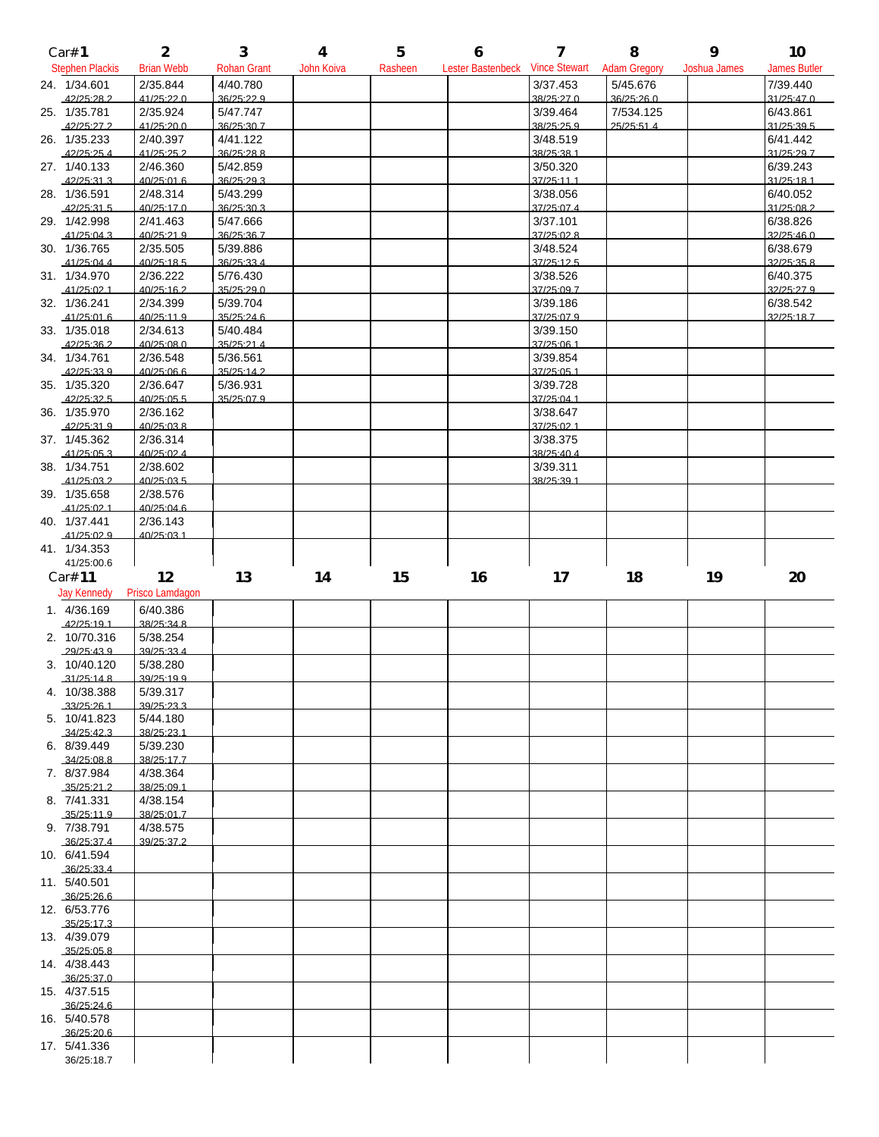| Car# 1                      | $\overline{2}$         | 3                      | $\overline{\mathbf{4}}$ | 5       | 6                                            | $\overline{7}$         | 8                       | 9                   | 10                     |
|-----------------------------|------------------------|------------------------|-------------------------|---------|----------------------------------------------|------------------------|-------------------------|---------------------|------------------------|
| <b>Stephen Plackis</b>      | <b>Brian Webb</b>      | <b>Rohan Grant</b>     | John Koiva              | Rasheen | Lester Bastenbeck Vince Stewart Adam Gregory |                        |                         | <b>Joshua James</b> | James Butler           |
| 24. 1/34.601                | 2/35.844               | 4/40.780               |                         |         |                                              | 3/37.453               | 5/45.676                |                     | 7/39.440               |
| 42/25:28.2<br>25. 1/35.781  | 41/25:220<br>2/35.924  | 36/25:22.9<br>5/47.747 |                         |         |                                              | 38/25:27.0<br>3/39.464 | 36/25:26.0<br>7/534.125 |                     | 31/25:47.0<br>6/43.861 |
| 42/25:27.2                  | 41/25:20.0             | 36/25:30.7             |                         |         |                                              | 38/25:25.9             | 25/25:51.4              |                     | 31/25:39.5             |
| 26. 1/35.233                | 2/40.397               | 4/41.122               |                         |         |                                              | 3/48.519               |                         |                     | 6/41.442               |
| 42/25:25.4                  | 41/25:25.2             | 36/25:28.8             |                         |         |                                              | 38/25:38.1             |                         |                     | 31/25:29.7             |
| 27. 1/40.133<br>42/25:31.3  | 2/46.360<br>40/25:01.6 | 5/42.859<br>36/25:29.3 |                         |         |                                              | 3/50.320<br>37/25:11.1 |                         |                     | 6/39.243<br>31/25:18.1 |
| 28. 1/36.591                | 2/48.314               | 5/43.299               |                         |         |                                              | 3/38.056               |                         |                     | 6/40.052               |
| 42/25:31.5                  | 40/25:17.0             | 36/25:30.3             |                         |         |                                              | 37/25:07.4             |                         |                     | 31/25:08.2             |
| 29. 1/42.998                | 2/41.463               | 5/47.666               |                         |         |                                              | 3/37.101               |                         |                     | 6/38.826<br>32/25:46.0 |
| 41/25:04.3<br>30. 1/36.765  | 40/25:21.9<br>2/35.505 | 36/25:36.7<br>5/39.886 |                         |         |                                              | 37/25:02.8<br>3/48.524 |                         |                     | 6/38.679               |
| 41/25:04.4                  | 40/25:18.5             | 36/25:33.4             |                         |         |                                              | 37/25:12.5             |                         |                     | 32/25:35.8             |
| 31. 1/34.970                | 2/36.222               | 5/76.430               |                         |         |                                              | 3/38.526               |                         |                     | 6/40.375               |
| 41/25:02.1                  | 40/25:16.2             | 35/25:29.0<br>5/39.704 |                         |         |                                              | 37/25:09.7             |                         |                     | 32/25:27.9<br>6/38.542 |
| 32. 1/36.241<br>41/25:01.6  | 2/34.399<br>40/25:11.9 | 35/25:24.6             |                         |         |                                              | 3/39.186<br>37/25:07.9 |                         |                     | 32/25:18.7             |
| 33. 1/35.018                | 2/34.613               | 5/40.484               |                         |         |                                              | 3/39.150               |                         |                     |                        |
| 42/25:36.2                  | 40/25:08.0             | 35/25:21.4             |                         |         |                                              | 37/25:06.1             |                         |                     |                        |
| 34. 1/34.761<br>42/25:33.9  | 2/36.548<br>40/25:06.6 | 5/36.561<br>35/25:14.2 |                         |         |                                              | 3/39.854<br>37/25:05.1 |                         |                     |                        |
| 35. 1/35.320                | 2/36.647               | 5/36.931               |                         |         |                                              | 3/39.728               |                         |                     |                        |
| 42/25:32.5                  | 40/25:05.5             | 35/25:07.9             |                         |         |                                              | 37/25:04.1             |                         |                     |                        |
| 36. 1/35.970                | 2/36.162               |                        |                         |         |                                              | 3/38.647               |                         |                     |                        |
| 42/25:31.9<br>37. 1/45.362  | 40/25:03.8<br>2/36.314 |                        |                         |         |                                              | 37/25:021<br>3/38.375  |                         |                     |                        |
| 41/25:05.3                  | 40/25:02.4             |                        |                         |         |                                              | 38/25:40.4             |                         |                     |                        |
| 38. 1/34.751                | 2/38.602               |                        |                         |         |                                              | 3/39.311               |                         |                     |                        |
| 41/25:03.2                  | 40/25:03.5             |                        |                         |         |                                              | 38/25:39.1             |                         |                     |                        |
| 39. 1/35.658<br>41/25:021   | 2/38.576<br>40/25:04 6 |                        |                         |         |                                              |                        |                         |                     |                        |
| 40. 1/37.441                | 2/36.143               |                        |                         |         |                                              |                        |                         |                     |                        |
| 41/25:02.9                  | 40/25:03.1             |                        |                         |         |                                              |                        |                         |                     |                        |
| 41. 1/34.353                |                        |                        |                         |         |                                              |                        |                         |                     |                        |
|                             |                        |                        |                         |         |                                              |                        |                         |                     |                        |
| 41/25:00.6                  |                        |                        |                         |         |                                              |                        |                         |                     |                        |
| Car# 11                     | 12                     | 13                     | 14                      | 15      | 16                                           | 17                     | 18                      | 19                  | 20                     |
| <b>Jay Kennedy</b>          | Prisco Lamdagon        |                        |                         |         |                                              |                        |                         |                     |                        |
| 1. 4/36.169<br>42/25:19.1   | 6/40.386<br>38/25:34.8 |                        |                         |         |                                              |                        |                         |                     |                        |
| 2. 10/70.316                | 5/38.254               |                        |                         |         |                                              |                        |                         |                     |                        |
| 29/25:43.9                  | 39/25:33.4             |                        |                         |         |                                              |                        |                         |                     |                        |
| 3. 10/40.120                | 5/38.280               |                        |                         |         |                                              |                        |                         |                     |                        |
| .31/25:14.8<br>4. 10/38.388 | 39/25:19.9<br>5/39.317 |                        |                         |         |                                              |                        |                         |                     |                        |
| 33/25:26.1                  | 39/25:23.3             |                        |                         |         |                                              |                        |                         |                     |                        |
| 5. 10/41.823                | 5/44.180               |                        |                         |         |                                              |                        |                         |                     |                        |
| 34/25:423                   | 38/25:23.1<br>5/39.230 |                        |                         |         |                                              |                        |                         |                     |                        |
| 6. 8/39.449<br>.34/25:08.8  | 38/25:17.7             |                        |                         |         |                                              |                        |                         |                     |                        |
| 7. 8/37.984                 | 4/38.364               |                        |                         |         |                                              |                        |                         |                     |                        |
| 35/25:21.2                  | 38/25:09.1             |                        |                         |         |                                              |                        |                         |                     |                        |
| 8. 7/41.331<br>35/25:11.9   | 4/38.154<br>38/25:01.7 |                        |                         |         |                                              |                        |                         |                     |                        |
| 9. 7/38.791                 | 4/38.575               |                        |                         |         |                                              |                        |                         |                     |                        |
| 36/25:37.4                  | 39/25:37.2             |                        |                         |         |                                              |                        |                         |                     |                        |
| 10. 6/41.594                |                        |                        |                         |         |                                              |                        |                         |                     |                        |
| 36/25:33.4<br>11. 5/40.501  |                        |                        |                         |         |                                              |                        |                         |                     |                        |
| 36/25:26.6                  |                        |                        |                         |         |                                              |                        |                         |                     |                        |
| 12. 6/53.776                |                        |                        |                         |         |                                              |                        |                         |                     |                        |
| .35/25:17.3                 |                        |                        |                         |         |                                              |                        |                         |                     |                        |
| 13. 4/39.079<br>35/25:05.8  |                        |                        |                         |         |                                              |                        |                         |                     |                        |
| 14. 4/38.443                |                        |                        |                         |         |                                              |                        |                         |                     |                        |
| 36/25:37.0                  |                        |                        |                         |         |                                              |                        |                         |                     |                        |
| 15. 4/37.515                |                        |                        |                         |         |                                              |                        |                         |                     |                        |
| 36/25:246<br>16. 5/40.578   |                        |                        |                         |         |                                              |                        |                         |                     |                        |
| 36/25:20.6                  |                        |                        |                         |         |                                              |                        |                         |                     |                        |
| 17. 5/41.336<br>36/25:18.7  |                        |                        |                         |         |                                              |                        |                         |                     |                        |